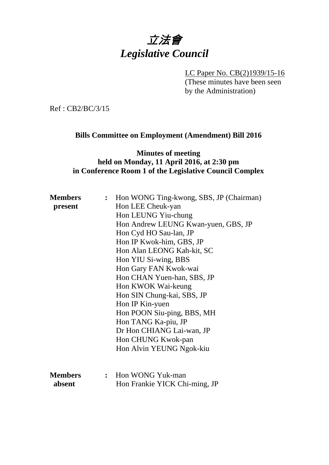

LC Paper No. CB(2)1939/15-16 (These minutes have been seen by the Administration)

Ref : CB2/BC/3/15

#### **Bills Committee on Employment (Amendment) Bill 2016**

## **Minutes of meeting held on Monday, 11 April 2016, at 2:30 pm in Conference Room 1 of the Legislative Council Complex**

| <b>Members</b> | : Hon WONG Ting-kwong, SBS, JP (Chairman) |
|----------------|-------------------------------------------|
| present        | Hon LEE Cheuk-yan                         |
|                | Hon LEUNG Yiu-chung                       |
|                | Hon Andrew LEUNG Kwan-yuen, GBS, JP       |
|                | Hon Cyd HO Sau-lan, JP                    |
|                | Hon IP Kwok-him, GBS, JP                  |
|                | Hon Alan LEONG Kah-kit, SC                |
|                | Hon YIU Si-wing, BBS                      |
|                | Hon Gary FAN Kwok-wai                     |
|                | Hon CHAN Yuen-han, SBS, JP                |
|                | Hon KWOK Wai-keung                        |
|                | Hon SIN Chung-kai, SBS, JP                |
|                | Hon IP Kin-yuen                           |
|                | Hon POON Siu-ping, BBS, MH                |
|                | Hon TANG Ka-piu, JP                       |
|                | Dr Hon CHIANG Lai-wan, JP                 |
|                | Hon CHUNG Kwok-pan                        |
|                | Hon Alvin YEUNG Ngok-kiu                  |
|                |                                           |
|                |                                           |
| <b>Members</b> | : Hon WONG Yuk-man                        |
| absent         | Hon Frankie YICK Chi-ming, JP             |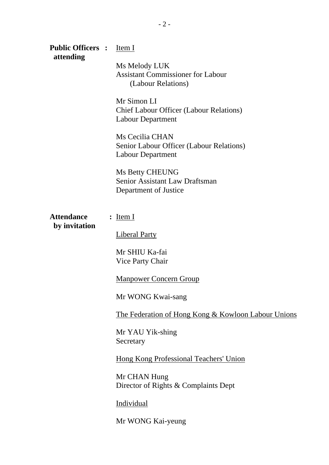| <b>Public Officers :</b><br>attending | Item I                                                                                    |
|---------------------------------------|-------------------------------------------------------------------------------------------|
|                                       | Ms Melody LUK<br><b>Assistant Commissioner for Labour</b><br>(Labour Relations)           |
|                                       | Mr Simon LI<br><b>Chief Labour Officer (Labour Relations)</b><br><b>Labour Department</b> |
|                                       | Ms Cecilia CHAN<br>Senior Labour Officer (Labour Relations)<br><b>Labour Department</b>   |
|                                       | <b>Ms Betty CHEUNG</b><br><b>Senior Assistant Law Draftsman</b><br>Department of Justice  |
| <b>Attendance</b><br>by invitation    | $:$ Item I                                                                                |
|                                       | <b>Liberal Party</b>                                                                      |
|                                       | Mr SHIU Ka-fai<br>Vice Party Chair                                                        |
|                                       | <b>Manpower Concern Group</b>                                                             |
|                                       | Mr WONG Kwai-sang                                                                         |
|                                       | <u>The Federation of Hong Kong &amp; Kowloon Labour Unions</u>                            |
|                                       | Mr YAU Yik-shing<br>Secretary                                                             |
|                                       | <b>Hong Kong Professional Teachers' Union</b>                                             |
|                                       | Mr CHAN Hung<br>Director of Rights & Complaints Dept                                      |
|                                       | Individual                                                                                |
|                                       | Mr WONG Kai-yeung                                                                         |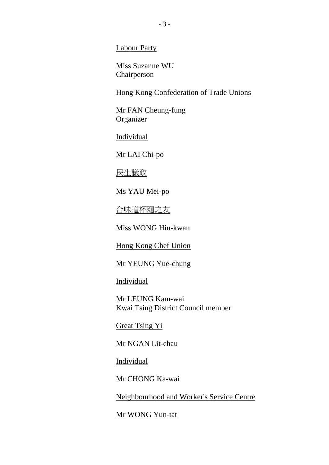Labour Party

Miss Suzanne WU Chairperson

Hong Kong Confederation of Trade Unions

Mr FAN Cheung-fung Organizer

Individual

Mr LAI Chi-po

民生議政

Ms YAU Mei-po

合味道杯麵之友

Miss WONG Hiu-kwan

Hong Kong Chef Union

Mr YEUNG Yue-chung

Individual

Mr LEUNG Kam-wai Kwai Tsing District Council member

Great Tsing Yi

Mr NGAN Lit-chau

Individual

Mr CHONG Ka-wai

Neighbourhood and Worker's Service Centre

Mr WONG Yun-tat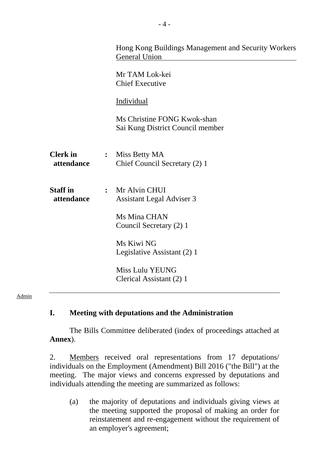|                               |                | Hong Kong Buildings Management and Security Workers<br><b>General Union</b><br>Mr TAM Lok-kei<br><b>Chief Executive</b><br>Individual<br>Ms Christine FONG Kwok-shan<br>Sai Kung District Council member |
|-------------------------------|----------------|----------------------------------------------------------------------------------------------------------------------------------------------------------------------------------------------------------|
| <b>Clerk</b> in<br>attendance | $\ddot{\cdot}$ | Miss Betty MA<br>Chief Council Secretary (2) 1                                                                                                                                                           |
| <b>Staff</b> in<br>attendance |                | : Mr Alvin CHUI<br><b>Assistant Legal Adviser 3</b><br>Ms Mina CHAN<br>Council Secretary (2) 1<br>Ms Kiwi NG<br>Legislative Assistant (2) 1<br><b>Miss Lulu YEUNG</b><br>Clerical Assistant (2) 1        |

#### Admin

#### **I. Meeting with deputations and the Administration**

1. The Bills Committee deliberated (index of proceedings attached at **Annex**).

2. Members received oral representations from 17 deputations/ individuals on the Employment (Amendment) Bill 2016 ("the Bill") at the meeting. The major views and concerns expressed by deputations and individuals attending the meeting are summarized as follows:

(a) the majority of deputations and individuals giving views at the meeting supported the proposal of making an order for reinstatement and re-engagement without the requirement of an employer's agreement;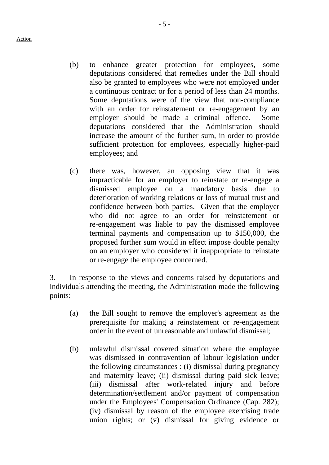- (b) to enhance greater protection for employees, some deputations considered that remedies under the Bill should also be granted to employees who were not employed under a continuous contract or for a period of less than 24 months. Some deputations were of the view that non-compliance with an order for reinstatement or re-engagement by an employer should be made a criminal offence. Some deputations considered that the Administration should increase the amount of the further sum, in order to provide sufficient protection for employees, especially higher-paid employees; and
- (c) there was, however, an opposing view that it was impracticable for an employer to reinstate or re-engage a dismissed employee on a mandatory basis due to deterioration of working relations or loss of mutual trust and confidence between both parties. Given that the employer who did not agree to an order for reinstatement or re-engagement was liable to pay the dismissed employee terminal payments and compensation up to \$150,000, the proposed further sum would in effect impose double penalty on an employer who considered it inappropriate to reinstate or re-engage the employee concerned.

3. In response to the views and concerns raised by deputations and individuals attending the meeting, the Administration made the following points:

- (a) the Bill sought to remove the employer's agreement as the prerequisite for making a reinstatement or re-engagement order in the event of unreasonable and unlawful dismissal;
- (b) unlawful dismissal covered situation where the employee was dismissed in contravention of labour legislation under the following circumstances : (i) dismissal during pregnancy and maternity leave; (ii) dismissal during paid sick leave; (iii) dismissal after work-related injury and before determination/settlement and/or payment of compensation under the Employees' Compensation Ordinance (Cap. 282); (iv) dismissal by reason of the employee exercising trade union rights; or (v) dismissal for giving evidence or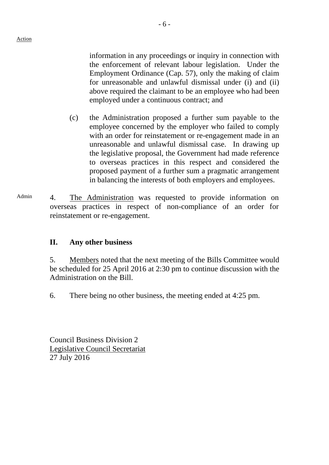information in any proceedings or inquiry in connection with the enforcement of relevant labour legislation. Under the Employment Ordinance (Cap. 57), only the making of claim for unreasonable and unlawful dismissal under (i) and (ii) above required the claimant to be an employee who had been

- (c) the Administration proposed a further sum payable to the employee concerned by the employer who failed to comply with an order for reinstatement or re-engagement made in an unreasonable and unlawful dismissal case. In drawing up the legislative proposal, the Government had made reference to overseas practices in this respect and considered the proposed payment of a further sum a pragmatic arrangement in balancing the interests of both employers and employees.
- Admin 4. The Administration was requested to provide information on overseas practices in respect of non-compliance of an order for reinstatement or re-engagement.

### **II. Any other business**

5. Members noted that the next meeting of the Bills Committee would be scheduled for 25 April 2016 at 2:30 pm to continue discussion with the Administration on the Bill.

6. There being no other business, the meeting ended at 4:25 pm.

Council Business Division 2 Legislative Council Secretariat 27 July 2016

employed under a continuous contract; and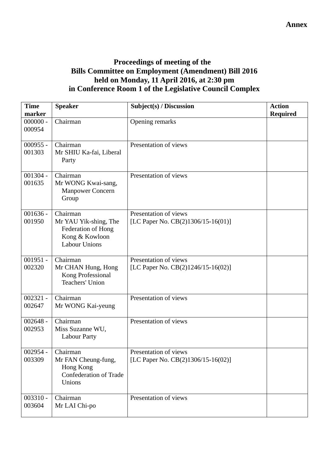# **Proceedings of meeting of the Bills Committee on Employment (Amendment) Bill 2016 held on Monday, 11 April 2016, at 2:30 pm in Conference Room 1 of the Legislative Council Complex**

| <b>Time</b><br>marker | <b>Speaker</b>                                                                                    | Subject(s) / Discussion                                        | <b>Action</b><br><b>Required</b> |
|-----------------------|---------------------------------------------------------------------------------------------------|----------------------------------------------------------------|----------------------------------|
| $000000 -$<br>000954  | Chairman                                                                                          | Opening remarks                                                |                                  |
| $000955 -$<br>001303  | Chairman<br>Mr SHIU Ka-fai, Liberal<br>Party                                                      | Presentation of views                                          |                                  |
| $001304 -$<br>001635  | Chairman<br>Mr WONG Kwai-sang,<br><b>Manpower Concern</b><br>Group                                | Presentation of views                                          |                                  |
| $001636 -$<br>001950  | Chairman<br>Mr YAU Yik-shing, The<br>Federation of Hong<br>Kong & Kowloon<br><b>Labour Unions</b> | Presentation of views<br>[LC Paper No. CB(2)1306/15-16(01)]    |                                  |
| $001951 -$<br>002320  | Chairman<br>Mr CHAN Hung, Hong<br>Kong Professional<br>Teachers' Union                            | Presentation of views<br>[LC Paper No. $CB(2)1246/15-16(02)$ ] |                                  |
| $002321 -$<br>002647  | Chairman<br>Mr WONG Kai-yeung                                                                     | Presentation of views                                          |                                  |
| $002648 -$<br>002953  | Chairman<br>Miss Suzanne WU,<br><b>Labour Party</b>                                               | Presentation of views                                          |                                  |
| $002954 -$<br>003309  | Chairman<br>Mr FAN Cheung-fung,<br>Hong Kong<br>Confederation of Trade<br>Unions                  | Presentation of views<br>[LC Paper No. CB(2)1306/15-16(02)]    |                                  |
| $003310 -$<br>003604  | Chairman<br>Mr LAI Chi-po                                                                         | Presentation of views                                          |                                  |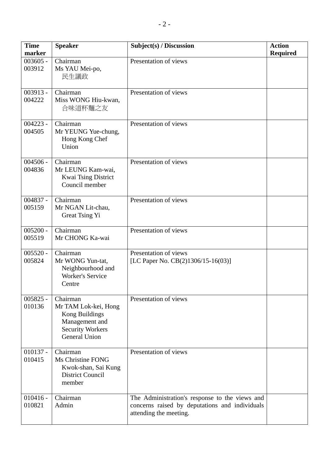| <b>Time</b><br>marker | <b>Speaker</b>                                                                                                          | Subject(s) / Discussion                                                                                                    | <b>Action</b><br><b>Required</b> |
|-----------------------|-------------------------------------------------------------------------------------------------------------------------|----------------------------------------------------------------------------------------------------------------------------|----------------------------------|
| $003605 -$<br>003912  | Chairman<br>Ms YAU Mei-po,<br>民生議政                                                                                      | Presentation of views                                                                                                      |                                  |
| 003913 -<br>004222    | Chairman<br>Miss WONG Hiu-kwan,<br>合味道杯麵之友                                                                              | Presentation of views                                                                                                      |                                  |
| $004223 -$<br>004505  | Chairman<br>Mr YEUNG Yue-chung,<br>Hong Kong Chef<br>Union                                                              | Presentation of views                                                                                                      |                                  |
| $004506 -$<br>004836  | $\overline{\text{Chairman}}$<br>Mr LEUNG Kam-wai,<br><b>Kwai Tsing District</b><br>Council member                       | Presentation of views                                                                                                      |                                  |
| 004837 -<br>005159    | Chairman<br>Mr NGAN Lit-chau,<br>Great Tsing Yi                                                                         | Presentation of views                                                                                                      |                                  |
| $005200 -$<br>005519  | Chairman<br>Mr CHONG Ka-wai                                                                                             | Presentation of views                                                                                                      |                                  |
| $005520 -$<br>005824  | Chairman<br>Mr WONG Yun-tat,<br>Neighbourhood and<br><b>Worker's Service</b><br>Centre                                  | Presentation of views<br>[LC Paper No. CB(2)1306/15-16(03)]                                                                |                                  |
| $005825 -$<br>010136  | Chairman<br>Mr TAM Lok-kei, Hong<br>Kong Buildings<br>Management and<br><b>Security Workers</b><br><b>General Union</b> | Presentation of views                                                                                                      |                                  |
| $010137 -$<br>010415  | Chairman<br>Ms Christine FONG<br>Kwok-shan, Sai Kung<br><b>District Council</b><br>member                               | Presentation of views                                                                                                      |                                  |
| $010416 -$<br>010821  | Chairman<br>Admin                                                                                                       | The Administration's response to the views and<br>concerns raised by deputations and individuals<br>attending the meeting. |                                  |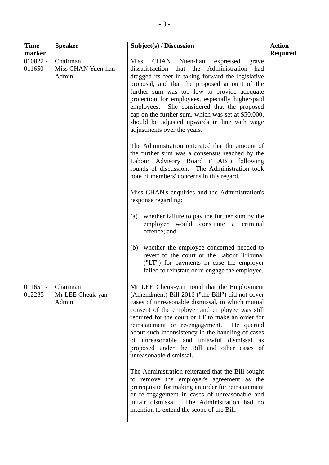| <b>Time</b><br>marker | <b>Speaker</b>                          | Subject(s) / Discussion                                                                                                                                                                                                                                                                                                                                                                                                                                                                                                                                                                                                                                                                                                                                                                                                                                                                                                                                                                                                                                                                                                                      | <b>Action</b><br><b>Required</b> |
|-----------------------|-----------------------------------------|----------------------------------------------------------------------------------------------------------------------------------------------------------------------------------------------------------------------------------------------------------------------------------------------------------------------------------------------------------------------------------------------------------------------------------------------------------------------------------------------------------------------------------------------------------------------------------------------------------------------------------------------------------------------------------------------------------------------------------------------------------------------------------------------------------------------------------------------------------------------------------------------------------------------------------------------------------------------------------------------------------------------------------------------------------------------------------------------------------------------------------------------|----------------------------------|
| $010822 -$<br>011650  | Chairman<br>Miss CHAN Yuen-han<br>Admin | <b>Miss</b><br>CHAN<br>Yuen-han<br>expressed<br>grave<br>that the Administration had<br>dissatisfaction<br>dragged its feet in taking forward the legislative<br>proposal, and that the proposed amount of the<br>further sum was too low to provide adequate<br>protection for employees, especially higher-paid<br>employees. She considered that the proposed<br>cap on the further sum, which was set at \$50,000,<br>should be adjusted upwards in line with wage<br>adjustments over the years.<br>The Administration reiterated that the amount of<br>the further sum was a consensus reached by the<br>Labour Advisory Board ("LAB") following<br>rounds of discussion. The Administration took<br>note of members' concerns in this regard.<br>Miss CHAN's enquiries and the Administration's<br>response regarding:<br>whether failure to pay the further sum by the<br>(a)<br>employer would constitute a criminal<br>offence; and<br>whether the employee concerned needed to<br>(b)<br>revert to the court or the Labour Tribunal<br>("LT") for payments in case the employer<br>failed to reinstate or re-engage the employee. |                                  |
| 011651<br>012235      | Chairman<br>Mr LEE Cheuk-yan<br>Admin   | Mr LEE Cheuk-yan noted that the Employment<br>(Amendment) Bill 2016 ("the Bill") did not cover<br>cases of unreasonable dismissal, in which mutual<br>consent of the employer and employee was still<br>required for the court or LT to make an order for<br>reinstatement or re-engagement.<br>He queried<br>about such inconsistency in the handling of cases<br>of unreasonable and unlawful dismissal as<br>proposed under the Bill and other cases of<br>unreasonable dismissal.<br>The Administration reiterated that the Bill sought<br>to remove the employer's agreement as the<br>prerequisite for making an order for reinstatement<br>or re-engagement in cases of unreasonable and<br>unfair dismissal.<br>The Administration had no<br>intention to extend the scope of the Bill.                                                                                                                                                                                                                                                                                                                                              |                                  |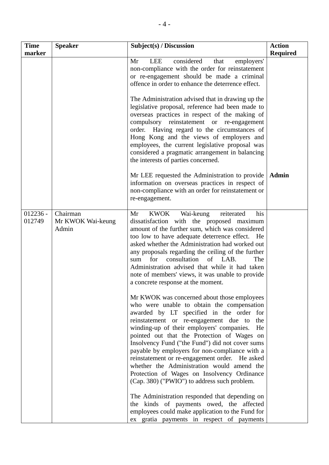| <b>Time</b><br>marker | <b>Speaker</b>                         | Subject(s) / Discussion                                                                                                                                                                                                                                                                                                                                                                                                                                                                                                                                                                                                                                                                                 | <b>Action</b><br><b>Required</b> |
|-----------------------|----------------------------------------|---------------------------------------------------------------------------------------------------------------------------------------------------------------------------------------------------------------------------------------------------------------------------------------------------------------------------------------------------------------------------------------------------------------------------------------------------------------------------------------------------------------------------------------------------------------------------------------------------------------------------------------------------------------------------------------------------------|----------------------------------|
|                       |                                        | considered<br>Mr<br>LEE<br>that<br>employers'<br>non-compliance with the order for reinstatement<br>or re-engagement should be made a criminal<br>offence in order to enhance the deterrence effect.<br>The Administration advised that in drawing up the<br>legislative proposal, reference had been made to<br>overseas practices in respect of the making of<br>compulsory reinstatement or re-engagement<br>order. Having regard to the circumstances of<br>Hong Kong and the views of employers and<br>employees, the current legislative proposal was<br>considered a pragmatic arrangement in balancing<br>the interests of parties concerned.<br>Mr LEE requested the Administration to provide | <b>Admin</b>                     |
|                       |                                        | information on overseas practices in respect of<br>non-compliance with an order for reinstatement or<br>re-engagement.                                                                                                                                                                                                                                                                                                                                                                                                                                                                                                                                                                                  |                                  |
| $012236 -$<br>012749  | Chairman<br>Mr KWOK Wai-keung<br>Admin | KWOK<br>Wai-keung<br>Mr<br>reiterated<br>his<br>dissatisfaction with the proposed maximum<br>amount of the further sum, which was considered<br>too low to have adequate deterrence effect. He<br>asked whether the Administration had worked out<br>any proposals regarding the ceiling of the further<br>of LAB.<br>for<br>consultation<br>sum<br>The<br>Administration advised that while it had taken<br>note of members' views, it was unable to provide<br>a concrete response at the moment.                                                                                                                                                                                                     |                                  |
|                       |                                        | Mr KWOK was concerned about those employees<br>who were unable to obtain the compensation<br>awarded by LT specified in the order for<br>reinstatement or re-engagement due to<br>the<br>winding-up of their employers' companies.<br>He<br>pointed out that the Protection of Wages on<br>Insolvency Fund ("the Fund") did not cover sums<br>payable by employers for non-compliance with a<br>reinstatement or re-engagement order. He asked<br>whether the Administration would amend the<br>Protection of Wages on Insolvency Ordinance<br>(Cap. 380) ("PWIO") to address such problem.                                                                                                             |                                  |
|                       |                                        | The Administration responded that depending on<br>the kinds of payments owed, the affected<br>employees could make application to the Fund for<br>ex gratia payments in respect of payments                                                                                                                                                                                                                                                                                                                                                                                                                                                                                                             |                                  |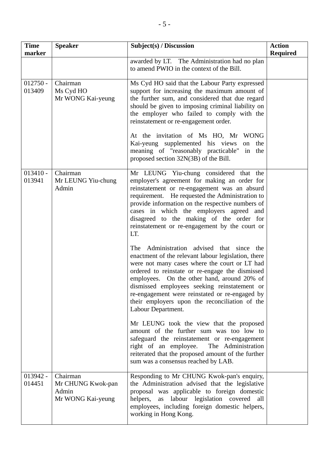| <b>Time</b><br>marker | <b>Speaker</b>                                              | Subject(s) / Discussion                                                                                                                                                                                                                                                                                                                                                                                                                                                      | <b>Action</b><br><b>Required</b> |
|-----------------------|-------------------------------------------------------------|------------------------------------------------------------------------------------------------------------------------------------------------------------------------------------------------------------------------------------------------------------------------------------------------------------------------------------------------------------------------------------------------------------------------------------------------------------------------------|----------------------------------|
|                       |                                                             | awarded by LT. The Administration had no plan<br>to amend PWIO in the context of the Bill.                                                                                                                                                                                                                                                                                                                                                                                   |                                  |
| $012750 -$<br>013409  | Chairman<br>Ms Cyd HO<br>Mr WONG Kai-yeung                  | Ms Cyd HO said that the Labour Party expressed<br>support for increasing the maximum amount of<br>the further sum, and considered that due regard<br>should be given to imposing criminal liability on<br>the employer who failed to comply with the<br>reinstatement or re-engagement order.<br>At the invitation of Ms HO, Mr WONG<br>Kai-yeung supplemented his views<br>the<br>on<br>meaning of "reasonably practicable" in the<br>proposed section 32N(3B) of the Bill. |                                  |
| $013410 -$<br>013941  | Chairman<br>Mr LEUNG Yiu-chung<br>Admin                     | Mr LEUNG Yiu-chung considered that the<br>employer's agreement for making an order for<br>reinstatement or re-engagement was an absurd<br>requirement. He requested the Administration to<br>provide information on the respective numbers of<br>cases in which the employers agreed and<br>disagreed to the making of the order for<br>reinstatement or re-engagement by the court or<br>LT.                                                                                |                                  |
|                       |                                                             | The Administration advised that since the<br>enactment of the relevant labour legislation, there<br>were not many cases where the court or LT had<br>ordered to reinstate or re-engage the dismissed<br>employees. On the other hand, around 20% of<br>dismissed employees seeking reinstatement or<br>re-engagement were reinstated or re-engaged by<br>their employers upon the reconciliation of the<br>Labour Department.<br>Mr LEUNG took the view that the proposed    |                                  |
|                       |                                                             | amount of the further sum was too low to<br>safeguard the reinstatement or re-engagement<br>right of an employee.<br>The Administration<br>reiterated that the proposed amount of the further<br>sum was a consensus reached by LAB.                                                                                                                                                                                                                                         |                                  |
| $013942 -$<br>014451  | Chairman<br>Mr CHUNG Kwok-pan<br>Admin<br>Mr WONG Kai-yeung | Responding to Mr CHUNG Kwok-pan's enquiry,<br>the Administration advised that the legislative<br>proposal was applicable to foreign domestic<br>helpers,<br>as labour legislation covered all<br>employees, including foreign domestic helpers,<br>working in Hong Kong.                                                                                                                                                                                                     |                                  |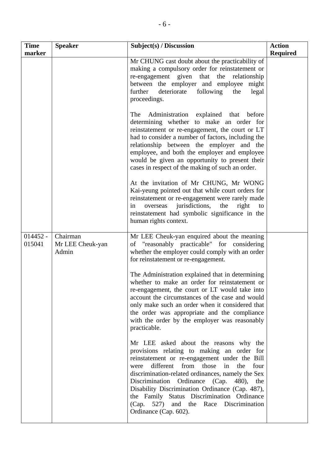| <b>Time</b><br>marker | <b>Speaker</b>                        | Subject(s) / Discussion                                                                                                                                                                                                                                                                                                                                                                                                                                               | <b>Action</b><br><b>Required</b> |
|-----------------------|---------------------------------------|-----------------------------------------------------------------------------------------------------------------------------------------------------------------------------------------------------------------------------------------------------------------------------------------------------------------------------------------------------------------------------------------------------------------------------------------------------------------------|----------------------------------|
|                       |                                       | Mr CHUNG cast doubt about the practicability of<br>making a compulsory order for reinstatement or<br>re-engagement given that the relationship<br>between the employer and employee might<br>deteriorate<br>following<br>further<br>the<br>legal<br>proceedings.                                                                                                                                                                                                      |                                  |
|                       |                                       | The<br>Administration<br>explained that before<br>determining whether to make an order for<br>reinstatement or re-engagement, the court or LT<br>had to consider a number of factors, including the<br>relationship between the employer and the<br>employee, and both the employer and employee<br>would be given an opportunity to present their<br>cases in respect of the making of such an order.                                                                |                                  |
|                       |                                       | At the invitation of Mr CHUNG, Mr WONG<br>Kai-yeung pointed out that while court orders for<br>reinstatement or re-engagement were rarely made<br>jurisdictions,<br>the<br>right<br>overseas<br>in<br>to<br>reinstatement had symbolic significance in the<br>human rights context.                                                                                                                                                                                   |                                  |
| $014452 -$<br>015041  | Chairman<br>Mr LEE Cheuk-yan<br>Admin | Mr LEE Cheuk-yan enquired about the meaning<br>of "reasonably practicable" for considering<br>whether the employer could comply with an order<br>for reinstatement or re-engagement.                                                                                                                                                                                                                                                                                  |                                  |
|                       |                                       | The Administration explained that in determining<br>whether to make an order for reinstatement or<br>re-engagement, the court or LT would take into<br>account the circumstances of the case and would<br>only make such an order when it considered that<br>the order was appropriate and the compliance<br>with the order by the employer was reasonably<br>practicable.                                                                                            |                                  |
|                       |                                       | Mr LEE asked about the reasons why the<br>provisions relating to making an order for<br>reinstatement or re-engagement under the Bill<br>different from those<br>in<br>the<br>were<br>four<br>discrimination-related ordinances, namely the Sex<br>Discrimination Ordinance (Cap.<br>480),<br>the<br>Disability Discrimination Ordinance (Cap. 487),<br>the Family Status Discrimination Ordinance<br>(Cap. 527) and the Race Discrimination<br>Ordinance (Cap. 602). |                                  |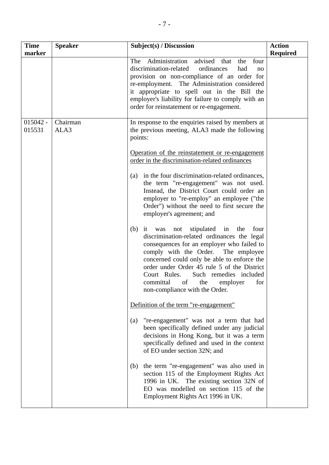| <b>Time</b><br>marker | <b>Speaker</b>   | Subject(s) / Discussion                                                                                                                                                                                                                                                                                                                                                                                           | <b>Action</b><br><b>Required</b> |
|-----------------------|------------------|-------------------------------------------------------------------------------------------------------------------------------------------------------------------------------------------------------------------------------------------------------------------------------------------------------------------------------------------------------------------------------------------------------------------|----------------------------------|
|                       |                  | Administration advised<br>The<br>that<br>the<br>four<br>discrimination-related<br>ordinances<br>had<br>no<br>provision on non-compliance of an order for<br>re-employment. The Administration considered<br>it appropriate to spell out in the Bill the<br>employer's liability for failure to comply with an<br>order for reinstatement or re-engagement.                                                        |                                  |
| $015042 -$<br>015531  | Chairman<br>ALA3 | In response to the enquiries raised by members at<br>the previous meeting, ALA3 made the following<br>points:                                                                                                                                                                                                                                                                                                     |                                  |
|                       |                  | Operation of the reinstatement or re-engagement<br>order in the discrimination-related ordinances                                                                                                                                                                                                                                                                                                                 |                                  |
|                       |                  | in the four discrimination-related ordinances,<br>(a)<br>the term "re-engagement" was not used.<br>Instead, the District Court could order an<br>employer to "re-employ" an employee ("the<br>Order") without the need to first secure the<br>employer's agreement; and                                                                                                                                           |                                  |
|                       |                  | stipulated<br>in the<br>four<br>$(b)$ it was<br>not<br>discrimination-related ordinances the legal<br>consequences for an employer who failed to<br>The employee<br>comply with the Order.<br>concerned could only be able to enforce the<br>order under Order 45 rule 5 of the District<br>Court Rules.<br>Such remedies included<br>committal<br>of<br>the<br>for<br>employer<br>non-compliance with the Order. |                                  |
|                       |                  | Definition of the term "re-engagement"                                                                                                                                                                                                                                                                                                                                                                            |                                  |
|                       |                  | "re-engagement" was not a term that had<br>(a)<br>been specifically defined under any judicial<br>decisions in Hong Kong, but it was a term<br>specifically defined and used in the context<br>of EO under section 32N; and                                                                                                                                                                                       |                                  |
|                       |                  | the term "re-engagement" was also used in<br>(b)<br>section 115 of the Employment Rights Act<br>1996 in UK. The existing section 32N of<br>EO was modelled on section 115 of the<br>Employment Rights Act 1996 in UK.                                                                                                                                                                                             |                                  |